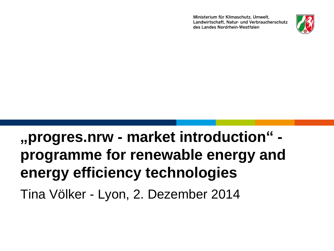Ministerium für Klimaschutz. Umwelt. Landwirtschaft, Natur- und Verbraucherschutz des Landes Nordrhein-Westfalen



# **"progres.nrw - market introduction" programme for renewable energy and energy efficiency technologies** Tina Völker - Lyon, 2. Dezember 2014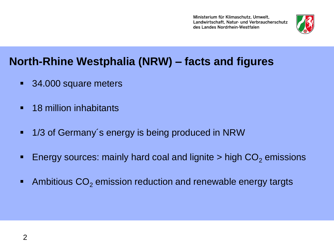Ministerium für Klimaschutz. Umwelt. Landwirtschaft, Natur- und Verbraucherschutz des Landes Nordrhein-Westfalen



## **North-Rhine Westphalia (NRW) – facts and figures**

- **34.000 square meters**
- **18 million inhabitants**
- 1/3 of Germany's energy is being produced in NRW
- **Energy sources: mainly hard coal and lignite > high**  $CO<sub>2</sub>$  **emissions**
- Ambitious  $CO<sub>2</sub>$  emission reduction and renewable energy targts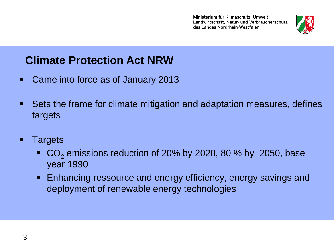

## **Climate Protection Act NRW**

- Came into force as of January 2013
- Sets the frame for climate mitigation and adaptation measures, defines targets
- **Targets** 
	- $\bullet$  CO<sub>2</sub> emissions reduction of 20% by 2020, 80 % by 2050, base year 1990
	- **Enhancing ressource and energy efficiency, energy savings and** deployment of renewable energy technologies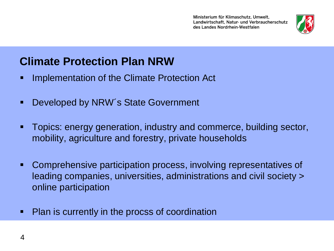

## **Climate Protection Plan NRW**

- **Implementation of the Climate Protection Act**
- Developed by NRW's State Government
- Topics: energy generation, industry and commerce, building sector, mobility, agriculture and forestry, private households
- Comprehensive participation process, involving representatives of leading companies, universities, administrations and civil society > online participation
- **Plan is currently in the procss of coordination**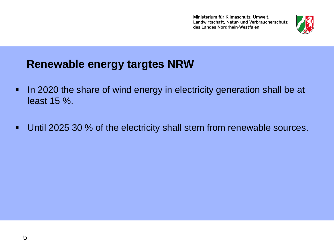

## **Renewable energy targtes NRW**

- In 2020 the share of wind energy in electricity generation shall be at least 15 %.
- **Until 2025 30 % of the electricity shall stem from renewable sources.**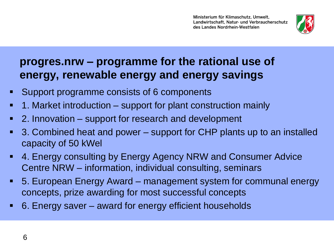

## **progres.nrw – programme for the rational use of energy, renewable energy and energy savings**

- Support programme consists of 6 components
- 1. Market introduction support for plant construction mainly
- 2. Innovation support for research and development
- 3. Combined heat and power support for CHP plants up to an installed capacity of 50 kWel
- 4. Energy consulting by Energy Agency NRW and Consumer Advice Centre NRW – information, individual consulting, seminars
- 5. European Energy Award management system for communal energy concepts, prize awarding for most successful concepts
- 6. Energy saver award for energy efficient households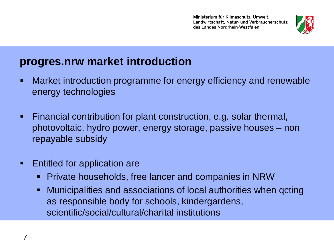

### **progres.nrw market introduction**

- Market introduction programme for energy efficiency and renewable energy technologies
- Financial contribution for plant construction, e.g. solar thermal, photovoltaic, hydro power, energy storage, passive houses – non repayable subsidy
- **Entitled for application are** 
	- **Private households, free lancer and companies in NRW**
	- Municipalities and associations of local authorities when qcting as responsible body for schools, kindergardens, scientific/social/cultural/charital institutions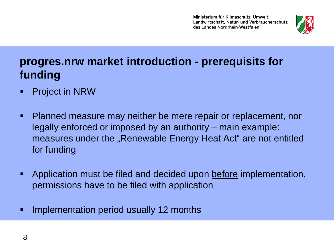

## **progres.nrw market introduction - prerequisits for funding**

- **Project in NRW**
- Planned measure may neither be mere repair or replacement, nor legally enforced or imposed by an authority – main example: measures under the "Renewable Energy Heat Act" are not entitled for funding
- **Application must be filed and decided upon before implementation,** permissions have to be filed with application
- **Implementation period usually 12 months**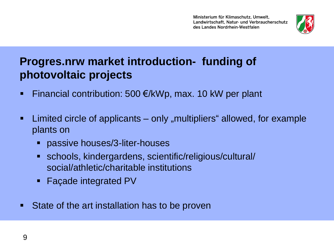Ministerium für Klimaschutz. Umwelt. Landwirtschaft, Natur- und Verbraucherschutz des Landes Nordrhein-Westfalen



## **Progres.nrw market introduction- funding of photovoltaic projects**

- Financial contribution: 500  $E/KWp$ , max. 10 kW per plant
- Limited circle of applicants only "multipliers" allowed, for example plants on
	- **Passive houses/3-liter-houses**
	- schools, kindergardens, scientific/religious/cultural/ social/athletic/charitable institutions
	- Façade integrated PV
- State of the art installation has to be proven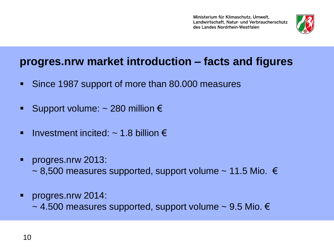

### **progres.nrw market introduction – facts and figures**

- Since 1987 support of more than 80.000 measures
- Support volume:  $\sim$  280 million  $\epsilon$
- Investment incited:  $\sim$  1.8 billion  $\epsilon$
- **Progres.nrw 2013:** 
	- $\sim$  8,500 measures supported, support volume  $\sim$  11.5 Mio.  $\in$
- **Progres.nrw 2014:** 
	- $\sim$  4.500 measures supported, support volume  $\sim$  9.5 Mio.  $\in$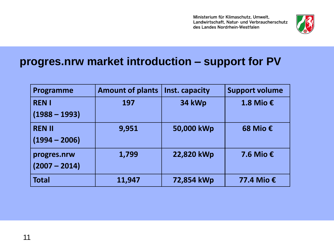Ministerium für Klimaschutz, Umwelt, Landwirtschaft, Natur- und Verbraucherschutz des Landes Nordrhein-Westfalen



#### **progres.nrw market introduction – support for PV**

| Programme       | <b>Amount of plants</b> | Inst. capacity | <b>Support volume</b> |
|-----------------|-------------------------|----------------|-----------------------|
| <b>RENI</b>     | 197                     | 34 kWp         | 1.8 Mio €             |
| $(1988 - 1993)$ |                         |                |                       |
| <b>REN II</b>   | 9,951                   | 50,000 kWp     | 68 Mio €              |
| $(1994 - 2006)$ |                         |                |                       |
| progres.nrw     | 1,799                   | 22,820 kWp     | 7.6 Mio $\epsilon$    |
| $(2007 - 2014)$ |                         |                |                       |
| <b>Total</b>    | 11,947                  | 72,854 kWp     | 77.4 Mio €            |